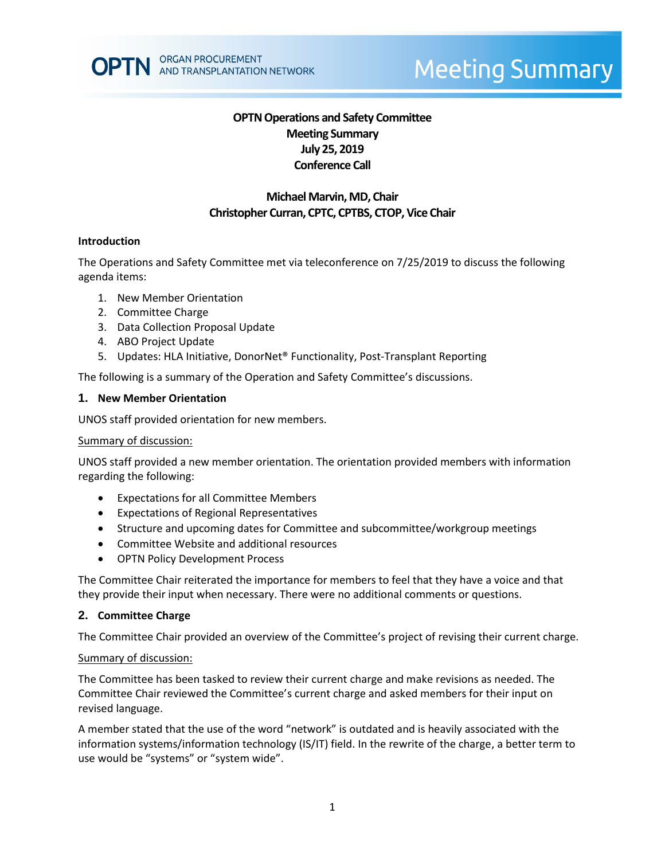# **OPTN Operations and Safety Committee Meeting Summary July 25, 2019 Conference Call**

# **Michael Marvin,MD, Chair Christopher Curran, CPTC, CPTBS, CTOP, Vice Chair**

#### **Introduction**

The Operations and Safety Committee met via teleconference on 7/25/2019 to discuss the following agenda items:

- 1. New Member Orientation
- 2. Committee Charge
- 3. Data Collection Proposal Update
- 4. ABO Project Update
- 5. Updates: HLA Initiative, DonorNet® Functionality, Post-Transplant Reporting

The following is a summary of the Operation and Safety Committee's discussions.

#### **1. New Member Orientation**

UNOS staff provided orientation for new members.

#### Summary of discussion:

UNOS staff provided a new member orientation. The orientation provided members with information regarding the following:

- Expectations for all Committee Members
- Expectations of Regional Representatives
- Structure and upcoming dates for Committee and subcommittee/workgroup meetings
- Committee Website and additional resources
- OPTN Policy Development Process

The Committee Chair reiterated the importance for members to feel that they have a voice and that they provide their input when necessary. There were no additional comments or questions.

#### **2. Committee Charge**

The Committee Chair provided an overview of the Committee's project of revising their current charge.

#### Summary of discussion:

The Committee has been tasked to review their current charge and make revisions as needed. The Committee Chair reviewed the Committee's current charge and asked members for their input on revised language.

A member stated that the use of the word "network" is outdated and is heavily associated with the information systems/information technology (IS/IT) field. In the rewrite of the charge, a better term to use would be "systems" or "system wide".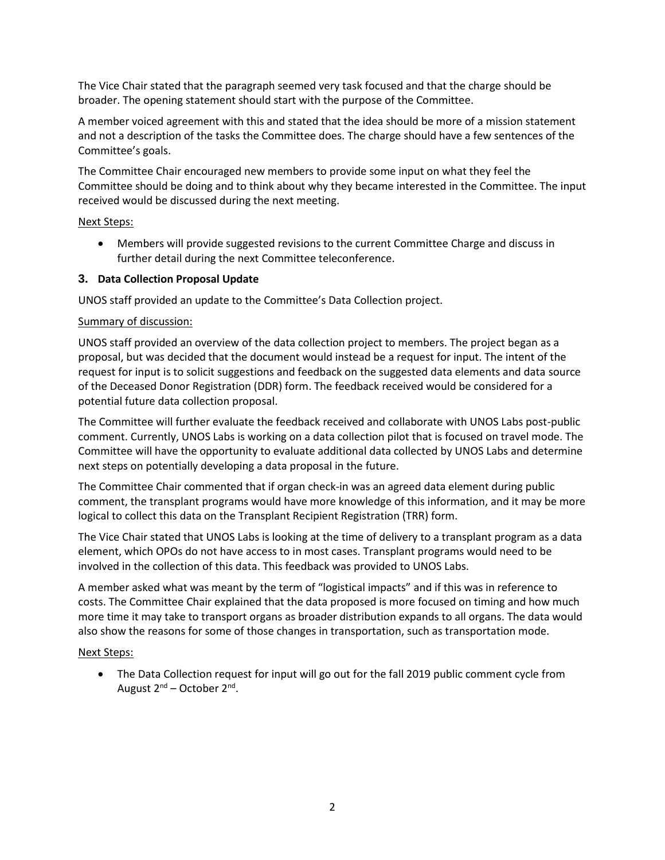The Vice Chair stated that the paragraph seemed very task focused and that the charge should be broader. The opening statement should start with the purpose of the Committee.

A member voiced agreement with this and stated that the idea should be more of a mission statement and not a description of the tasks the Committee does. The charge should have a few sentences of the Committee's goals.

The Committee Chair encouraged new members to provide some input on what they feel the Committee should be doing and to think about why they became interested in the Committee. The input received would be discussed during the next meeting.

## Next Steps:

 Members will provide suggested revisions to the current Committee Charge and discuss in further detail during the next Committee teleconference.

# **3. Data Collection Proposal Update**

UNOS staff provided an update to the Committee's Data Collection project.

## Summary of discussion:

UNOS staff provided an overview of the data collection project to members. The project began as a proposal, but was decided that the document would instead be a request for input. The intent of the request for input is to solicit suggestions and feedback on the suggested data elements and data source of the Deceased Donor Registration (DDR) form. The feedback received would be considered for a potential future data collection proposal.

The Committee will further evaluate the feedback received and collaborate with UNOS Labs post-public comment. Currently, UNOS Labs is working on a data collection pilot that is focused on travel mode. The Committee will have the opportunity to evaluate additional data collected by UNOS Labs and determine next steps on potentially developing a data proposal in the future.

The Committee Chair commented that if organ check-in was an agreed data element during public comment, the transplant programs would have more knowledge of this information, and it may be more logical to collect this data on the Transplant Recipient Registration (TRR) form.

The Vice Chair stated that UNOS Labs is looking at the time of delivery to a transplant program as a data element, which OPOs do not have access to in most cases. Transplant programs would need to be involved in the collection of this data. This feedback was provided to UNOS Labs.

A member asked what was meant by the term of "logistical impacts" and if this was in reference to costs. The Committee Chair explained that the data proposed is more focused on timing and how much more time it may take to transport organs as broader distribution expands to all organs. The data would also show the reasons for some of those changes in transportation, such as transportation mode.

## Next Steps:

• The Data Collection request for input will go out for the fall 2019 public comment cycle from August 2<sup>nd</sup> – October 2<sup>nd</sup>.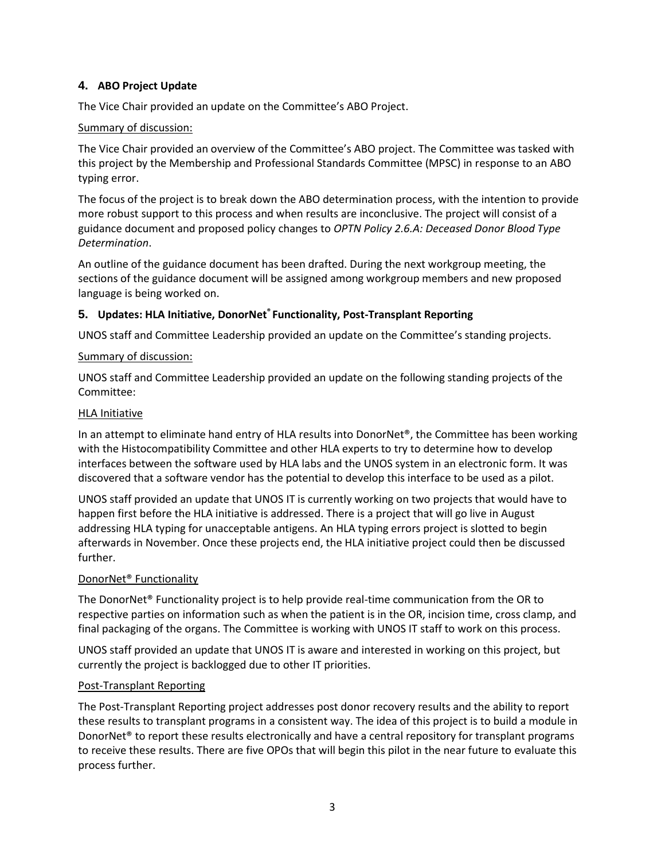# **4. ABO Project Update**

The Vice Chair provided an update on the Committee's ABO Project.

## Summary of discussion:

The Vice Chair provided an overview of the Committee's ABO project. The Committee was tasked with this project by the Membership and Professional Standards Committee (MPSC) in response to an ABO typing error.

The focus of the project is to break down the ABO determination process, with the intention to provide more robust support to this process and when results are inconclusive. The project will consist of a guidance document and proposed policy changes to *OPTN Policy 2.6.A: Deceased Donor Blood Type Determination*.

An outline of the guidance document has been drafted. During the next workgroup meeting, the sections of the guidance document will be assigned among workgroup members and new proposed language is being worked on.

# **5. Updates: HLA Initiative, DonorNet® Functionality, Post-Transplant Reporting**

UNOS staff and Committee Leadership provided an update on the Committee's standing projects.

# Summary of discussion:

UNOS staff and Committee Leadership provided an update on the following standing projects of the Committee:

## HLA Initiative

In an attempt to eliminate hand entry of HLA results into DonorNet®, the Committee has been working with the Histocompatibility Committee and other HLA experts to try to determine how to develop interfaces between the software used by HLA labs and the UNOS system in an electronic form. It was discovered that a software vendor has the potential to develop this interface to be used as a pilot.

UNOS staff provided an update that UNOS IT is currently working on two projects that would have to happen first before the HLA initiative is addressed. There is a project that will go live in August addressing HLA typing for unacceptable antigens. An HLA typing errors project is slotted to begin afterwards in November. Once these projects end, the HLA initiative project could then be discussed further.

# DonorNet® Functionality

The DonorNet® Functionality project is to help provide real-time communication from the OR to respective parties on information such as when the patient is in the OR, incision time, cross clamp, and final packaging of the organs. The Committee is working with UNOS IT staff to work on this process.

UNOS staff provided an update that UNOS IT is aware and interested in working on this project, but currently the project is backlogged due to other IT priorities.

## Post-Transplant Reporting

The Post-Transplant Reporting project addresses post donor recovery results and the ability to report these results to transplant programs in a consistent way. The idea of this project is to build a module in DonorNet® to report these results electronically and have a central repository for transplant programs to receive these results. There are five OPOs that will begin this pilot in the near future to evaluate this process further.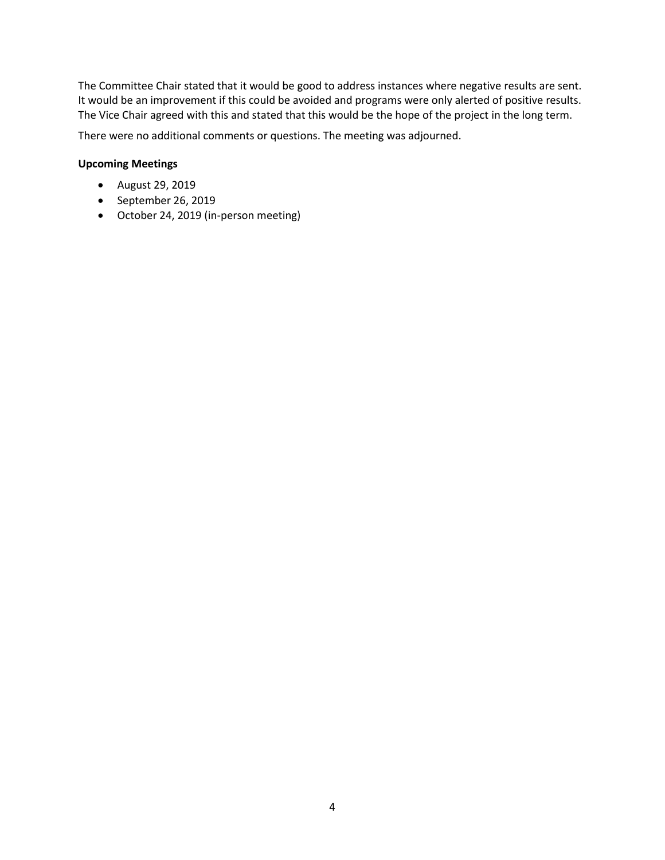The Committee Chair stated that it would be good to address instances where negative results are sent. It would be an improvement if this could be avoided and programs were only alerted of positive results. The Vice Chair agreed with this and stated that this would be the hope of the project in the long term.

There were no additional comments or questions. The meeting was adjourned.

#### **Upcoming Meetings**

- August 29, 2019
- September 26, 2019
- October 24, 2019 (in-person meeting)